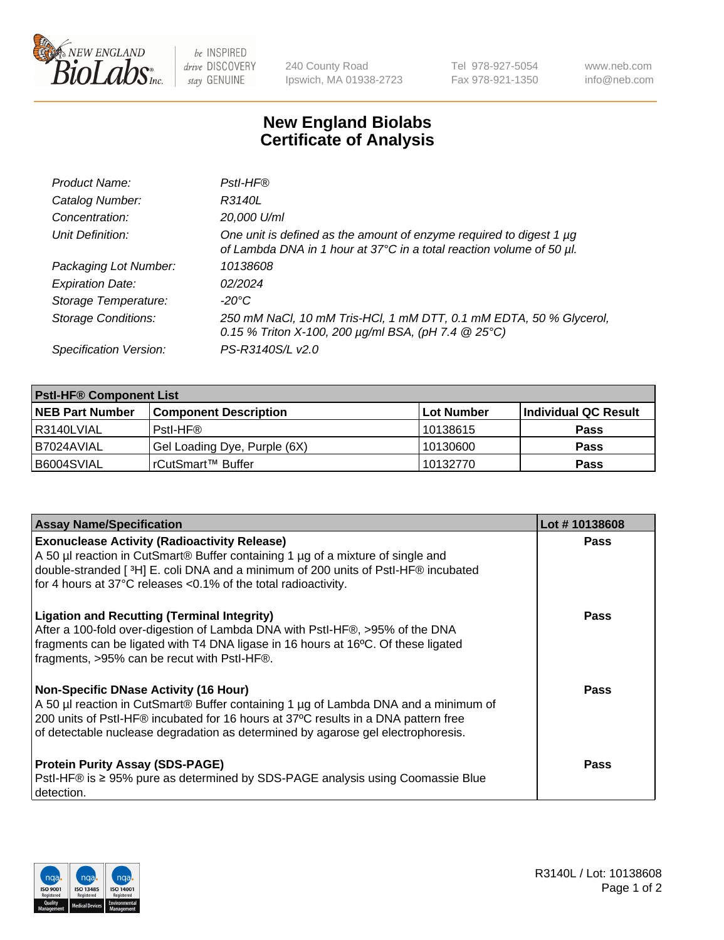

 $be$  INSPIRED drive DISCOVERY stay GENUINE

240 County Road Ipswich, MA 01938-2723 Tel 978-927-5054 Fax 978-921-1350 www.neb.com info@neb.com

## **New England Biolabs Certificate of Analysis**

| Product Name:              | Pstl-HF®                                                                                                                                             |
|----------------------------|------------------------------------------------------------------------------------------------------------------------------------------------------|
| Catalog Number:            | R3140L                                                                                                                                               |
| Concentration:             | 20,000 U/ml                                                                                                                                          |
| Unit Definition:           | One unit is defined as the amount of enzyme required to digest 1 µg<br>of Lambda DNA in 1 hour at 37°C in a total reaction volume of 50 µl.          |
| Packaging Lot Number:      | 10138608                                                                                                                                             |
| <b>Expiration Date:</b>    | 02/2024                                                                                                                                              |
| Storage Temperature:       | $-20^{\circ}$ C                                                                                                                                      |
| <b>Storage Conditions:</b> | 250 mM NaCl, 10 mM Tris-HCl, 1 mM DTT, 0.1 mM EDTA, 50 % Glycerol,<br>0.15 % Triton X-100, 200 $\mu$ g/ml BSA, (pH 7.4 $\textcircled{25}^{\circ}$ C) |
| Specification Version:     | PS-R3140S/L v2.0                                                                                                                                     |

| <b>Pstl-HF® Component List</b> |                              |                   |                      |  |
|--------------------------------|------------------------------|-------------------|----------------------|--|
| <b>NEB Part Number</b>         | <b>Component Description</b> | <b>Lot Number</b> | Individual QC Result |  |
| I R3140LVIAL                   | Pstl-HF®                     | 10138615          | <b>Pass</b>          |  |
| I B7024AVIAL                   | Gel Loading Dye, Purple (6X) | 10130600          | <b>Pass</b>          |  |
| B6004SVIAL                     | rCutSmart™ Buffer            | 10132770          | <b>Pass</b>          |  |

| <b>Assay Name/Specification</b>                                                                                                                                                                                                                                                                               | Lot #10138608 |
|---------------------------------------------------------------------------------------------------------------------------------------------------------------------------------------------------------------------------------------------------------------------------------------------------------------|---------------|
| <b>Exonuclease Activity (Radioactivity Release)</b><br>A 50 µl reaction in CutSmart® Buffer containing 1 µg of a mixture of single and                                                                                                                                                                        | <b>Pass</b>   |
| double-stranded [3H] E. coli DNA and a minimum of 200 units of PstI-HF® incubated<br>for 4 hours at 37°C releases <0.1% of the total radioactivity.                                                                                                                                                           |               |
| <b>Ligation and Recutting (Terminal Integrity)</b><br>After a 100-fold over-digestion of Lambda DNA with PstI-HF®, >95% of the DNA<br>fragments can be ligated with T4 DNA ligase in 16 hours at 16°C. Of these ligated<br>fragments, >95% can be recut with PstI-HF®.                                        | <b>Pass</b>   |
| <b>Non-Specific DNase Activity (16 Hour)</b><br>A 50 µl reaction in CutSmart® Buffer containing 1 µg of Lambda DNA and a minimum of<br>200 units of Pstl-HF® incubated for 16 hours at 37°C results in a DNA pattern free<br>of detectable nuclease degradation as determined by agarose gel electrophoresis. | Pass          |
| <b>Protein Purity Assay (SDS-PAGE)</b><br>PstI-HF® is ≥ 95% pure as determined by SDS-PAGE analysis using Coomassie Blue<br>detection.                                                                                                                                                                        | <b>Pass</b>   |